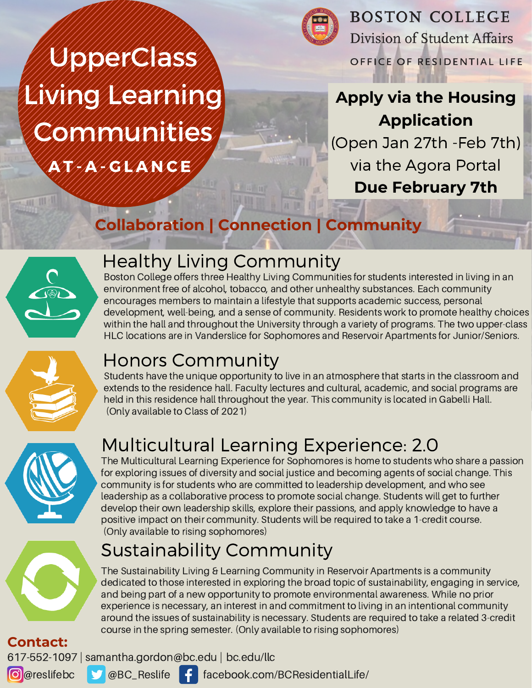AT A A GLANCE UpperClass Living Learning Communities



**BOSTON COLLEGE** Division of Student Affairs OFFICE OF RESIDENTIAL LIFE

# **Apply via the Housing Application**

(Open Jan 27th -Feb 7th) via the Agora Portal **Due February 7th**

# **Collaboration | Connection | Community**



# Healthy Living Community

Boston College offers three Healthy Living Communities for students interested in living in an environment free of alcohol, tobacco, and other unhealthy substances. Each community encourages members to maintain a lifestyle that supports academic success, personal development, well-being, and a sense of community. Residents work to promote healthy choices within the hall and throughout the University through a variety of programs. The two upper-class HLC locations are in Vanderslice for Sophomores and Reservoir Apartments for Junior/Seniors.



# Honors Community

Students have the unique opportunity to live in an atmosphere that starts in the classroom and extends to the residence hall. Faculty lectures and cultural, academic, and social programs are held in this residence hall throughout the year. This community is located in Gabelli Hall. (Only available to Class of 2021)



# Multicultural Learning Experience: 2.0

The Multicultural Learning Experience for Sophomores is home to students who share a passion for exploring issues of diversity and social justice and becoming agents of social change. This community is for students who are committed to leadership development, and who see leadership as a collaborative process to promote social change. Students will get to further develop their own leadership skills, explore their passions, and apply knowledge to have a positive impact on their community. Students will be required to take a 1-credit course. (Only available to rising sophomores)

# Sustainability Community

The Sustainability Living & Learning Community in Reservoir Apartments is a community dedicated to those interested in exploring the broad topic of sustainability, engaging in service, and being part of a new opportunity to promote environmental awareness. While no prior experience is necessary, an interest in and commitment to living in an intentional community around the issues of sustainability is necessary. Students are required to take a related 3-credit course in the spring semester. (Only available to rising sophomores)

**Contact:**

**O** @reslifebc 617-552-1097 | samantha.gordon@bc.edu | bc.edu/llc



facebook.com/BCResidentialLife/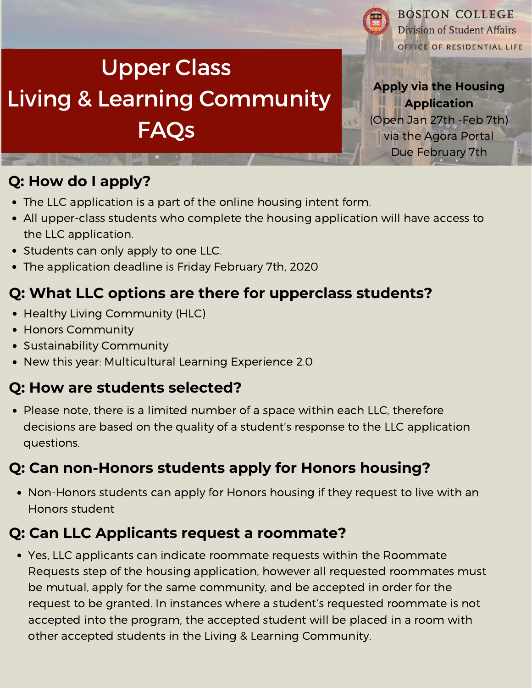# Upper Class Living & Learning Community FAQs



ic's

**BOSTON COLLEGE** Division of Student Affairs OFFICE OF RESIDENTIAL LIFE

**Apply via the Housing Application**

(Open Jan 27th -Feb 7th) via the Agora Portal Due February 7th

## **Q: How do I apply?**

- The LLC application is a part of the online housing intent form.
- All upper-class students who complete the housing application will have access to the LLC application.
- Students can only apply to one LLC.
- The application deadline is Friday February 7th, 2020

## **Q: What LLC options are there for upperclass students?**

- Healthy Living Community (HLC)
- Honors Community
- Sustainability Community
- New this year: Multicultural Learning Experience 2.0

#### **Q: How are students selected?**

• Please note, there is a limited number of a space within each LLC, therefore decisions are based on the quality of a student's response to the LLC application questions.

## **Q: Can non-Honors students apply for Honors housing?**

Non-Honors students can apply for Honors housing if they request to live with an Honors student

## **Q: Can LLC Applicants request a roommate?**

Yes, LLC applicants can indicate roommate requests within the Roommate Requests step of the housing application, however all requested roommates must be mutual, apply for the same community, and be accepted in order for the request to be granted. In instances where a student's requested roommate is not accepted into the program, the accepted student will be placed in a room with other accepted students in the Living & Learning Community.